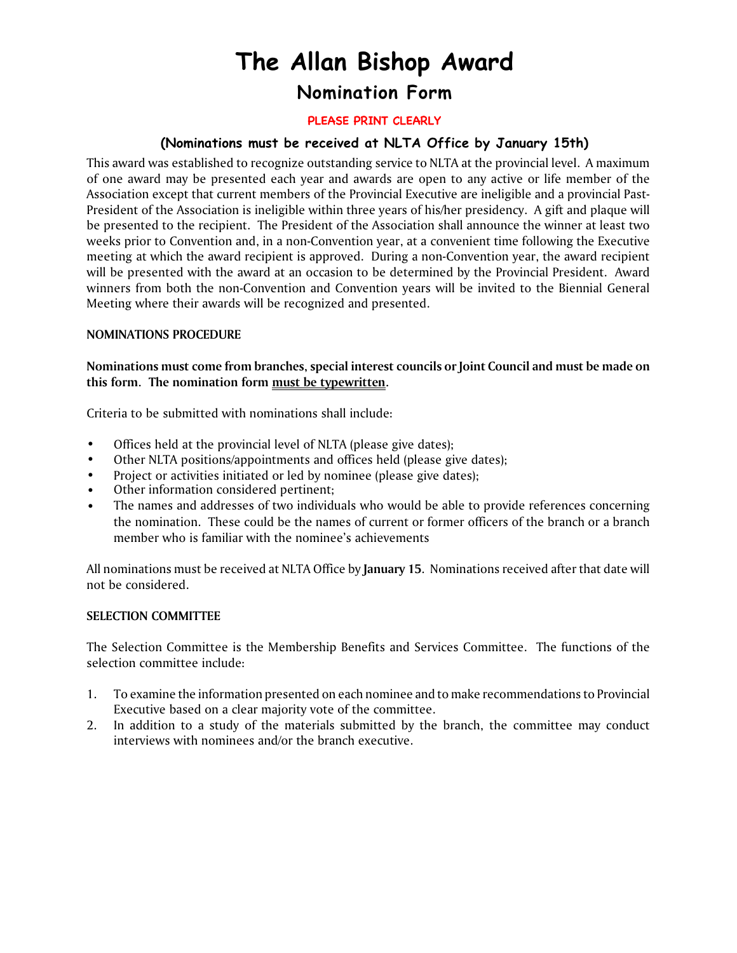# **The Allan Bishop Award Nomination Form**

### PLEASE PRINT CLEARLY

## **(Nominations must be received at NLTA Office by January 15th)**

This award was established to recognize outstanding service to NLTA at the provincial level. A maximum of one award may be presented each year and awards are open to any active or life member of the Association except that current members of the Provincial Executive are ineligible and a provincial Past-President of the Association is ineligible within three years of his/her presidency. A gift and plaque will be presented to the recipient. The President of the Association shall announce the winner at least two weeks prior to Convention and, in a non-Convention year, at a convenient time following the Executive meeting at which the award recipient is approved. During a non-Convention year, the award recipient will be presented with the award at an occasion to be determined by the Provincial President. Award winners from both the non-Convention and Convention years will be invited to the Biennial General Meeting where their awards will be recognized and presented.

#### **NOMINATIONS PROCEDURE**

**Nominations must come from branches, special interest councils or Joint Council and must be made on this form. The nomination form must be typewritten.** 

Criteria to be submitted with nominations shall include:

- Offices held at the provincial level of NLTA (please give dates);
- Other NLTA positions/appointments and offices held (please give dates);
- Project or activities initiated or led by nominee (please give dates);
- Other information considered pertinent;
- The names and addresses of two individuals who would be able to provide references concerning the nomination. These could be the names of current or former officers of the branch or a branch member who is familiar with the nominee's achievements

All nominations must be received at NLTA Office by **January 15**. Nominations received after that date will not be considered.

#### **SELECTION COMMITTEE**

The Selection Committee is the Membership Benefits and Services Committee. The functions of the selection committee include:

- 1. To examine the information presented on each nominee and to make recommendations to Provincial Executive based on a clear majority vote of the committee.
- 2. In addition to a study of the materials submitted by the branch, the committee may conduct interviews with nominees and/or the branch executive.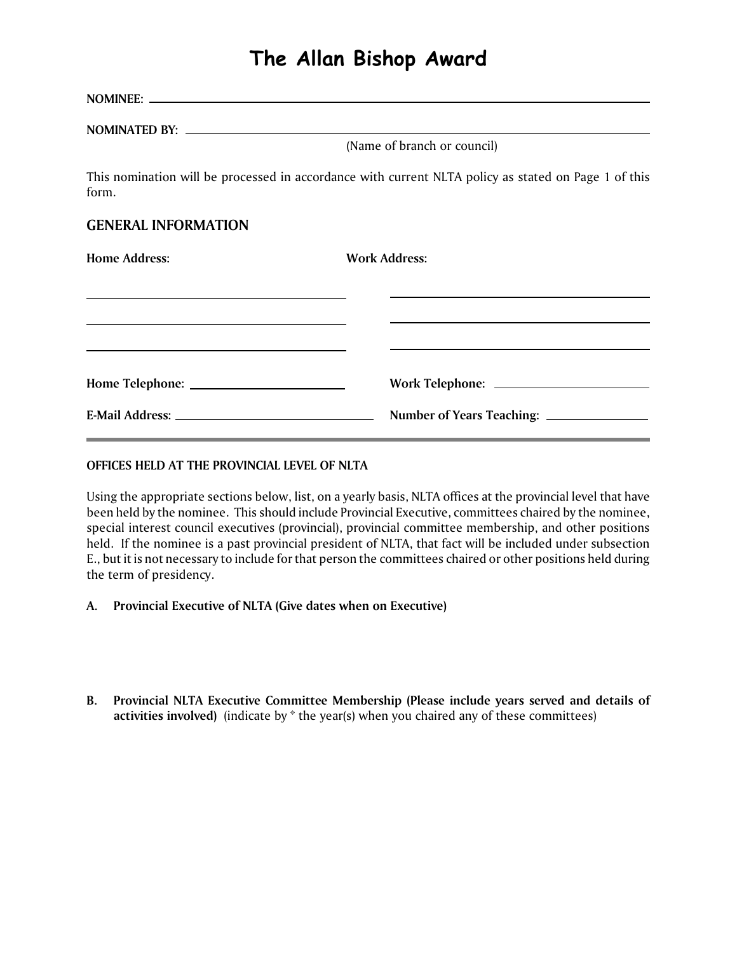# **The Allan Bishop Award**

**NOMINEE: NOMINATED BY:** (Name of branch or council) This nomination will be processed in accordance with current NLTA policy as stated on Page 1 of this form. **GENERAL INFORMATION**

| <b>Home Address:</b>                                                                                                 | <b>Work Address:</b> |
|----------------------------------------------------------------------------------------------------------------------|----------------------|
| <u> 1989 - Johann Barbara, marka a shekara tsa 1989 - An tsa 1989 - An tsa 1989 - An tsa 1989 - An tsa 1989 - An</u> |                      |
| <u> 1999 - Johann Stoff, amerikansk politiker (d. 1989)</u>                                                          |                      |
|                                                                                                                      |                      |

#### **OFFICES HELD AT THE PROVINCIAL LEVEL OF NLTA**

Using the appropriate sections below, list, on a yearly basis, NLTA offices at the provincial level that have been held by the nominee. This should include Provincial Executive, committees chaired by the nominee, special interest council executives (provincial), provincial committee membership, and other positions held. If the nominee is a past provincial president of NLTA, that fact will be included under subsection E., but it is not necessary to include for that person the committees chaired or other positions held during the term of presidency.

- **A. Provincial Executive of NLTA (Give dates when on Executive)**
- **B. Provincial NLTA Executive Committee Membership (Please include years served and details of activities involved)** (indicate by \* the year(s) when you chaired any of these committees)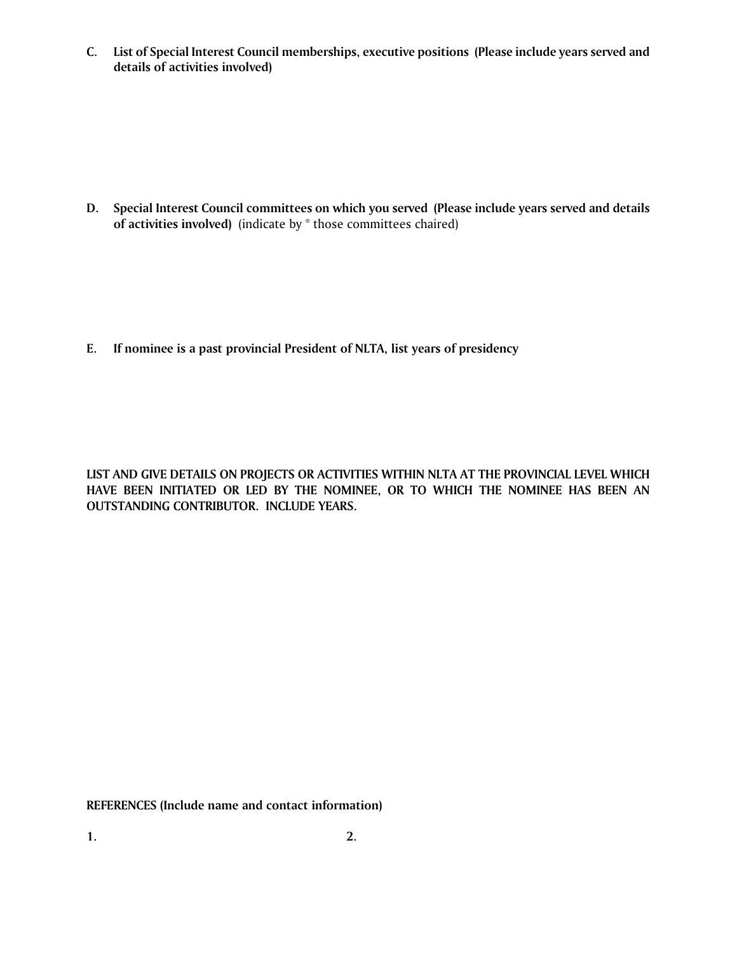**C. List of Special Interest Council memberships, executive positions (Please include years served and details of activities involved)**

**D. Special Interest Council committees on which you served (Please include years served and details of activities involved)** (indicate by \* those committees chaired)

**E. If nominee is a past provincial President of NLTA, list years of presidency**

**LIST AND GIVE DETAILS ON PROJECTS OR ACTIVITIES WITHIN NLTA AT THE PROVINCIAL LEVEL WHICH HAVE BEEN INITIATED OR LED BY THE NOMINEE, OR TO WHICH THE NOMINEE HAS BEEN AN OUTSTANDING CONTRIBUTOR. INCLUDE YEARS.**

**REFERENCES (Include name and contact information)**